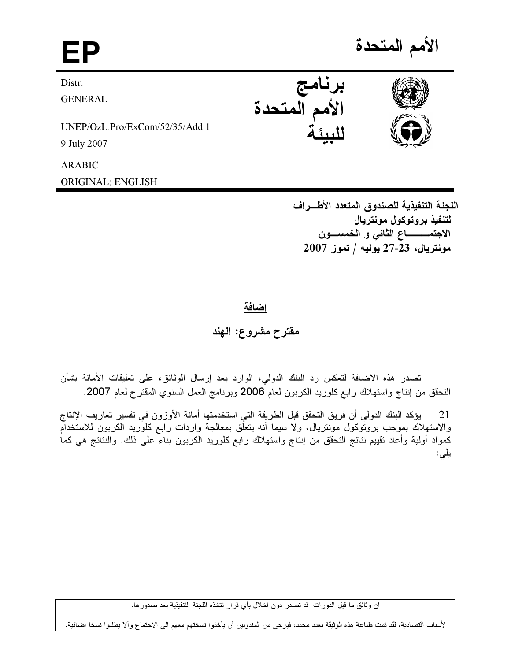EP and the set of the set of the set of the set of the set of the set of the set of the set of the set of the <br>EP and the set of the set of the set of the set of the set of the set of the set of the set of the set of the الأمم المتحدة Distr. **GENERAL** UNEP/OzL.Pro/ExCom/52/35/Add.1 9 July 2007 برنامج الأمم المتحدة للبيئة

ARABIC

ORIGINAL: ENGLISH

اللجنة التنفيذية للصندوق المتعدد الأطـــراف لتنفيذ بروتوكول مونتريال الاجتمــــــــــــاع الثاني و الـخمســـــون  $2007$  مونتريال، 23-27 يوليه / تموز

I

<u>اضافة</u>

مقترح مشروع: الـهند

تصدر هذه الاضافة لتعكس رد البنك الدولي، الوارد بعد إرسال الوثائق، على تعليقات الامانة بشان النحقق من إنتاج واستهلاك رابع كلوريد الكربون لعام 2006 وبرنامج العمل السنوي المقترح لعام 2007.

21 ٪ يؤكد البنك الدولي ان فريق التحفق قبل الطريقة التي استخدمتها امانة الأوزون في تفسير تعاريف الإنتاج والاستهلاك بموجب بروتوكول مونتريال، ولا سيما انه يتعلق بمعالجة واردات رابع كلوريد الكربون للاستخدام كمواد أولية وأعاد نقييم نتائج التحقق من إنتاج واستهلاك رابع كلوريد الكربون بناء على ذلك. والنتائج هي كما يلى:

لأسباب اقتصادية، لقد تمت طباعة هذه الوثيقة بعدد محدد، فيرجى من المندوبين أن يأخذوا نسختهم معهم الى الاجتماع وألآ يطلبوا نسخا اضافية.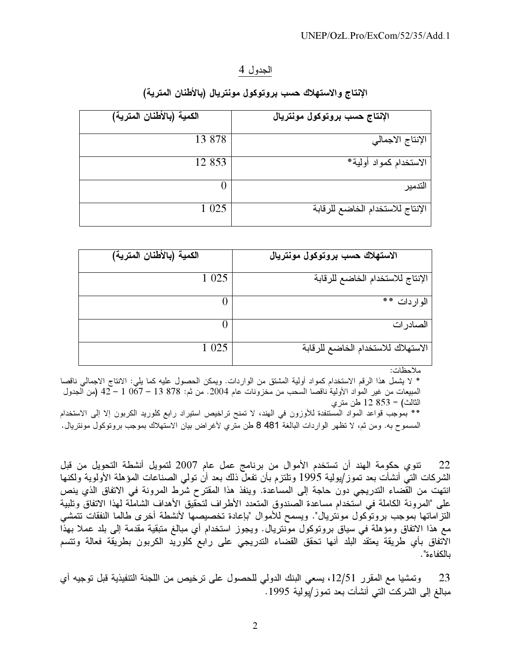## الجدول 4

## الإنتاج والاستهلاك حسب بروتوكول مونتريال (بالأطنان المترية)

| الكمية (بالأطنان المترية) | الإنتاج حسب بروتوكول مونتريال    |
|---------------------------|----------------------------------|
| 13 878                    | الإنتاج الاجمالي                 |
| 12 853                    | الاستخدام كمواد أولية*           |
|                           | التدمير                          |
| 1 0 2 5                   | الإنتاج للاستخدام الخاضع للرقابة |

| الاستهلاك حسب بروتوكول مونتريال    | الكمية (بالأطنان المترية) |  |
|------------------------------------|---------------------------|--|
| الإنتاج للاستخدام الخاضع للرقابة   | 1 0 2 5                   |  |
| الوار دات **                       |                           |  |
| الصادر ات                          |                           |  |
| الاستهلاك للاستخدام الخاضع للرقابة | 1 0 2 5                   |  |

ملاحظات:

\* لا يشمل هذا الرقم الاستخدام كمواد أولية المشتق من الواردات. ويمكن الحصول عليه كما يلي: الانتاج الاجمالي ناقصا المعبيعات من غير المواد الأولية ناقصا السحب من مخزونات عام 2004. من ثم: 878 13 – 67 أ – 42 (من ألجدول الثالث) = 853 12 طن متري

\*\* بموجب قواعد المواد المستنفدة للأوزون في الهند، لا تمنح تراخيص استيراد رابع كلوريد الكربون إلا إلى الاستخدام المسموح به. ومن ثم، لا نظهر الواردات البالغة 8481 طن متري لأغراض بيان الاستهلاك بموجب بروتوكول مونتريال.

تنوى حكومة الهند أن تستخدم الأموال من برنامج عمل عام 2007 لتمويل أنشطة التحويل من قبل 22 الشركات التي أنشأت بعد تموز/يولية 1995 وتلتزم بأن تفعل ذلك بعد أن تولمي الصناعات المؤهلة الأولوية ولكنها انتهت من القضاء التدريجي دون حاجة إلى المساعدة. وينفذ هذا المقترح شرط المرونة في الاتفاق الذي ينص على "المرونة الكاملة في استخدام مساعدة الصندوق المتعدد الأطراف لتحقيق الأهداف الشاملة لهذا الاتفاق وتلبية التزاماتها بموجب بروتوكول مونتريال". ويسمح للأموال "بإعادة تخصيصها لأنشطة أخرى طالما النفقات نتمشى مع هذا الاتفاق ومؤهلة في سياق بروتوكول موَّنتريال. ويجوز استخدام أي مبالغ متبقية مقدمة إلى بلد عملا بهذًا الاتفاق بأي طريقة يعتقد البلد أنها تحقق القضاء الندريجي على رابع كلوريد الكربون بطريقة فعالة وتتسم بالكفاءة".

وتمشيا مع المقرر 12/51، يسعى البنك الدولي للحصول على ترخيص من اللجنة التنفيذية قبل توجيه أي 23 مبالغ إلى الشركت التي أنشأت بعد تموز/يولية 1995.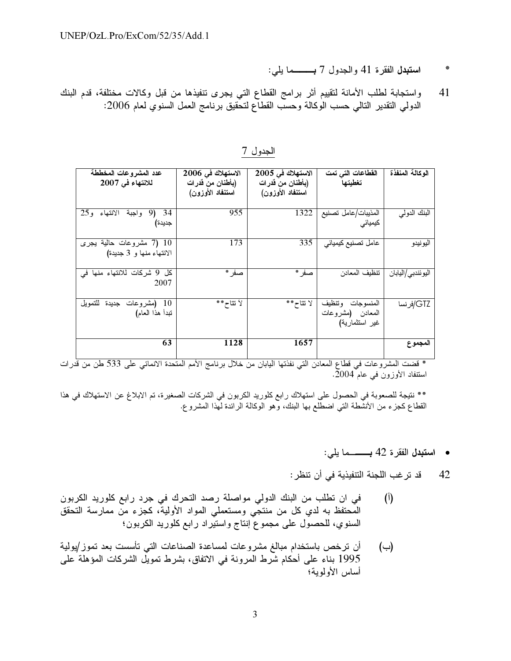- استبدل الفقرة 41 والجدول 7 بـــــما يلي:
- واستجابة لطلب الأمانة لتقييم أثر برامج القطاع التي يجرى تنفيذها من قبل وكالات مختلفة، قدم البنك 41 الدولمي النقدير النالمي حسب الوكالة وحسب القطآع لتحقيق برنامج العمل السنوي لعام 2006:

| عدد المشروعات المخططة<br>للانتهاء في 2007            | الاستهلاك في 2006<br>(بأطنان من قدر ات<br>استنفاد الأوزون) | الاستهلاك في 2005<br>(بأطنان من فدرات<br>استنفاد الأوزون) | الفطاعات التي تمت<br>تغطيتها                                | الوكالة المنفذة   |
|------------------------------------------------------|------------------------------------------------------------|-----------------------------------------------------------|-------------------------------------------------------------|-------------------|
| واجبة الانتهاء و25<br>9)<br>- 34<br>جديدة)           | 955                                                        | 1322                                                      | المذيبات/عامل تصنيع<br>کیمیائی                              | البنك الدولمي     |
| 10 (7 مشروعات حالية يجرى<br>الانتهاء منها و 3 جديدة) | 173                                                        | 335                                                       | عامل تصنيع كيميائي                                          | اليو نيدو         |
| كل 9 شركات للانتهاء منها في<br>2007                  | صفر *                                                      | صفر *                                                     | تنظيف المعادن                                               | اليوئندبي/اليابان |
| (مشروعات جديدة للتمويل<br>-10<br>تبدأ هذا العام)     | لأنتاح**                                                   | لا نتاح**                                                 | و تنظیف<br>المنسو جات<br>المعادن (مشروعات<br>غير استثمارية) | GTZ/فرنسا         |
| 63                                                   | 1128                                                       | 1657                                                      |                                                             | المجموع           |

الجدول 7

استنفاد الأوزون في عام 2004.

\*\* نتيجة للصعوبة في الحصول على استهلاك رابع كلوريد الكربون في الشركات الصغيرة، تم الابلاغ عن الاستهلاك في هذا<br>القطاع كجزء من الأنشطة التي اضطلع بها البنك، وهو الوكالة الرائدة لهذا المشروع.

قد ترغب اللجنة التنفيذية في أن تنظر : 42

- في ان تطلب من البنك الدولي مواصلة رصد التحرك في جرد رابع كلوريد الكربون  $\binom{1}{1}$ الْمُحتفظ به لدي كل من منتجَّى ومستعملي المواد الأولية، كجزء منَّ ممارسة التحقق السنوي، للحصول على مجموع إنتاج واستيراد رابع كلوريد الكربون؛
- أن ترخص باستخدام مبالغ مشروعات لمساعدة الصناعات التي تأسست بعد تموز /يولية (ب) 1995 بناء على أحكام شَّرط المرونة في الاتفاق، بشرط تمويَّل الشركات المؤهلة على أساس الأولموية؛